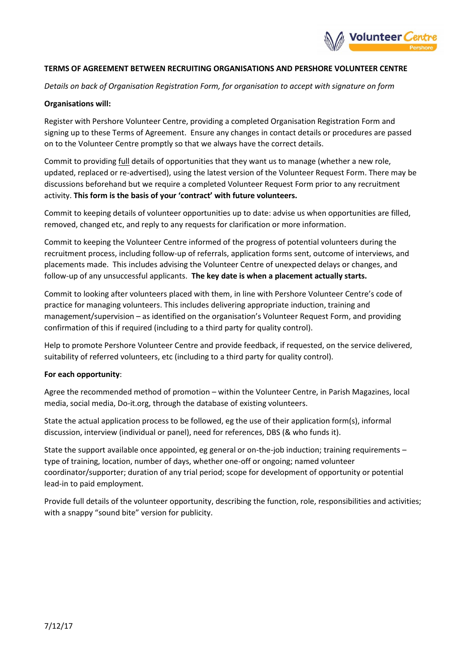

## **TERMS OF AGREEMENT BETWEEN RECRUITING ORGANISATIONS AND PERSHORE VOLUNTEER CENTRE**

*Details on back of Organisation Registration Form, for organisation to accept with signature on form*

# **Organisations will:**

Register with Pershore Volunteer Centre, providing a completed Organisation Registration Form and signing up to these Terms of Agreement. Ensure any changes in contact details or procedures are passed on to the Volunteer Centre promptly so that we always have the correct details.

Commit to providing full details of opportunities that they want us to manage (whether a new role, updated, replaced or re-advertised), using the latest version of the Volunteer Request Form. There may be discussions beforehand but we require a completed Volunteer Request Form prior to any recruitment activity. **This form is the basis of your 'contract' with future volunteers.**

Commit to keeping details of volunteer opportunities up to date: advise us when opportunities are filled, removed, changed etc, and reply to any requests for clarification or more information.

Commit to keeping the Volunteer Centre informed of the progress of potential volunteers during the recruitment process, including follow-up of referrals, application forms sent, outcome of interviews, and placements made. This includes advising the Volunteer Centre of unexpected delays or changes, and follow-up of any unsuccessful applicants. **The key date is when a placement actually starts.**

Commit to looking after volunteers placed with them, in line with Pershore Volunteer Centre's code of practice for managing volunteers. This includes delivering appropriate induction, training and management/supervision – as identified on the organisation's Volunteer Request Form, and providing confirmation of this if required (including to a third party for quality control).

Help to promote Pershore Volunteer Centre and provide feedback, if requested, on the service delivered, suitability of referred volunteers, etc (including to a third party for quality control).

## **For each opportunity**:

Agree the recommended method of promotion – within the Volunteer Centre, in Parish Magazines, local media, social media, Do-it.org, through the database of existing volunteers.

State the actual application process to be followed, eg the use of their application form(s), informal discussion, interview (individual or panel), need for references, DBS (& who funds it).

State the support available once appointed, eg general or on-the-job induction; training requirements – type of training, location, number of days, whether one-off or ongoing; named volunteer coordinator/supporter; duration of any trial period; scope for development of opportunity or potential lead-in to paid employment.

Provide full details of the volunteer opportunity, describing the function, role, responsibilities and activities; with a snappy "sound bite" version for publicity.